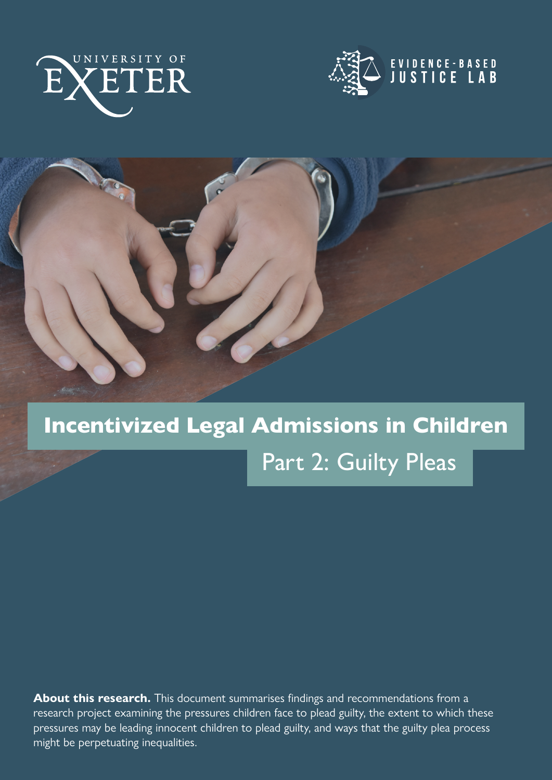





### Incentivized Legal Admissions in Children

### Part 2: Guilty Pleas

**About this research.** This document summarises findings and recommendations from a research project examining the pressures children face to plead guilty, the extent to which these pressures may be leading innocent children to plead guilty, and ways that the guilty plea process might be perpetuating inequalities.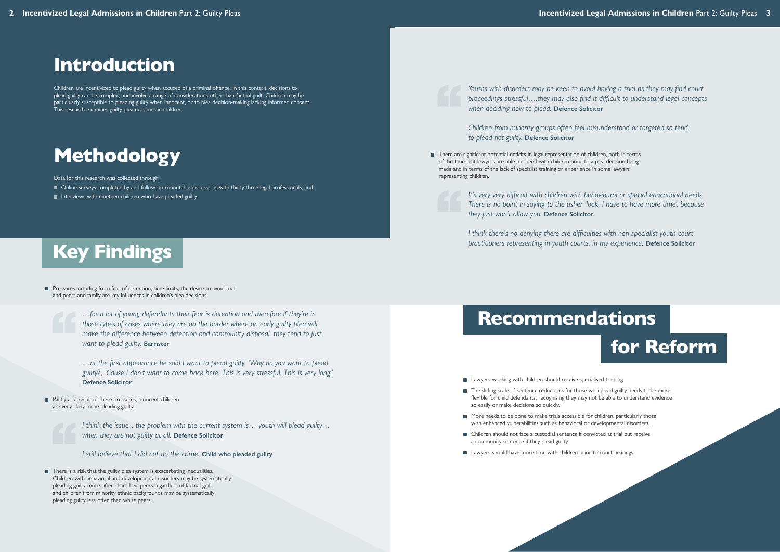## Key Findings

### Introduction

Children are incentivized to plead guilty when accused of a criminal offence. In this context, decisions to plead guilty can be complex, and involve a range of considerations other than factual guilt. Children may be particularly susceptible to pleading guilty when innocent, or to plea decision-making lacking informed consent. This research examines guilty plea decisions in children.

- Online surveys completed by and follow-up roundtable discussions with thirty-three legal professionals, and
- Interviews with nineteen children who have pleaded guilty.

**Pressures including from fear of detention, time limits, the desire to avoid trial** and peers and family are key influences in children's plea decisions.

## Methodology

Data for this research was collected through:

■ Partly as a result of these pressures, innocent children are very likely to be pleading guilty.



*…for a lot of young defendants their fear is detention and therefore if they're in those types of cases where they are on the border where an early guilty plea will make the difference between detention and community disposal, they tend to just want to plead guilty.* **Barrister**

■ There is a risk that the guilty plea system is exacerbating inequalities. Children with behavioral and developmental disorders may be systematically pleading guilty more often than their peers regardless of factual guilt, and children from minority ethnic backgrounds may be systematically pleading guilty less often than white peers.

*…at the first appearance he said I want to plead guilty. 'Why do you want to plead guilty?', 'Cause I don't want to come back here. This is very stressful. This is very long.'*  **Defence Solicitor**

*I think the issue... the problem with the current system is… youth will plead guilty… when they are not guilty at all.* **Defence Solicitor**

*I still believe that I did not do the crime.* **Child who pleaded guilty**

There are significant potential deficits in legal representation of children, both in terms of the time that lawyers are able to spend with children prior to a plea decision being made and in terms of the lack of specialist training or experience in some lawyers representing children.

# Recommendations for Reform

- **Lawyers working with children should receive specialised training.**
- The sliding scale of sentence reductions for those who plead guilty needs to be more flexible for child defendants, recognising they may not be able to understand evidence so easily or make decisions so quickly.
- More needs to be done to make trials accessible for children, particularly those with enhanced vulnerabilities such as behavioral or developmental disorders.
- Children should not face a custodial sentence if convicted at trial but receive a community sentence if they plead guilty.
- Lawyers should have more time with children prior to court hearings.

*Youths with disorders may be keen to avoid having a trial as they may find court proceedings stressful….they may also find it difficult to understand legal concepts when deciding how to plead.* **Defence Solicitor**

*Children from minority groups often feel misunderstood or targeted so tend to plead not guilty.* **Defence Solicitor**

*It's very very difficult with children with behavioural or special educational needs. There is no point in saying to the usher 'look, I have to have more time', because they just won't allow you.* **Defence Solicitor**

*I think there's no denying there are difficulties with non-specialist youth court practitioners representing in youth courts, in my experience.* **Defence Solicitor**